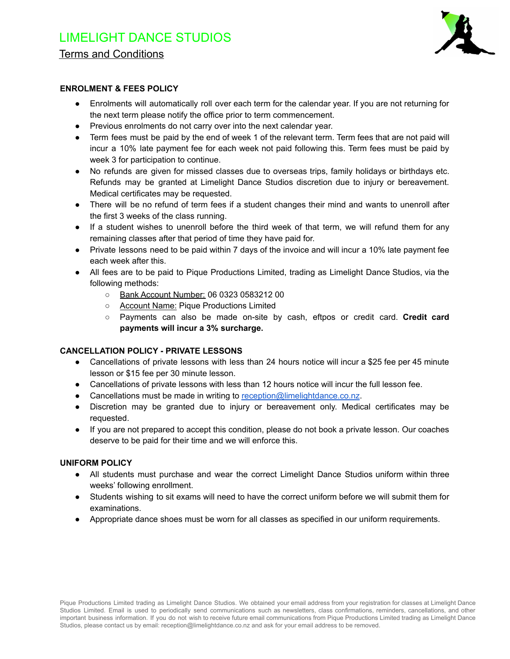

# **ENROLMENT & FEES POLICY**

- Enrolments will automatically roll over each term for the calendar year. If you are not returning for the next term please notify the office prior to term commencement.
- Previous enrolments do not carry over into the next calendar year.
- Term fees must be paid by the end of week 1 of the relevant term. Term fees that are not paid will incur a 10% late payment fee for each week not paid following this. Term fees must be paid by week 3 for participation to continue.
- No refunds are given for missed classes due to overseas trips, family holidays or birthdays etc. Refunds may be granted at Limelight Dance Studios discretion due to injury or bereavement. Medical certificates may be requested.
- There will be no refund of term fees if a student changes their mind and wants to unenroll after the first 3 weeks of the class running.
- If a student wishes to unenroll before the third week of that term, we will refund them for any remaining classes after that period of time they have paid for.
- Private lessons need to be paid within 7 days of the invoice and will incur a 10% late payment fee each week after this.
- All fees are to be paid to Pique Productions Limited, trading as Limelight Dance Studios, via the following methods:
	- Bank Account Number: 06 0323 0583212 00
	- Account Name: Pique Productions Limited
	- Payments can also be made on-site by cash, eftpos or credit card. **Credit card payments will incur a 3% surcharge.**

# **CANCELLATION POLICY - PRIVATE LESSONS**

- Cancellations of private lessons with less than 24 hours notice will incur a \$25 fee per 45 minute lesson or \$15 fee per 30 minute lesson.
- Cancellations of private lessons with less than 12 hours notice will incur the full lesson fee.
- Cancellations must be made in writing to [reception@limelightdance.co.nz](mailto:reception@limelightdance.co.nz).
- Discretion may be granted due to injury or bereavement only. Medical certificates may be requested.
- If you are not prepared to accept this condition, please do not book a private lesson. Our coaches deserve to be paid for their time and we will enforce this.

# **UNIFORM POLICY**

- All students must purchase and wear the correct Limelight Dance Studios uniform within three weeks' following enrollment.
- Students wishing to sit exams will need to have the correct uniform before we will submit them for examinations.
- Appropriate dance shoes must be worn for all classes as specified in our uniform requirements.